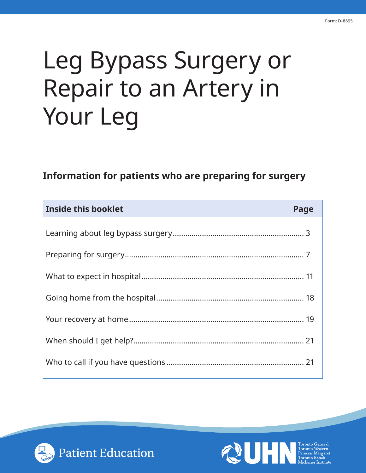# Leg Bypass Surgery or Repair to an Artery in Your Leg

# **Information for patients who are preparing for surgery**

| Inside this booklet | Page |
|---------------------|------|
|                     |      |
|                     |      |
|                     |      |
|                     |      |
|                     |      |
|                     |      |
|                     |      |
|                     |      |



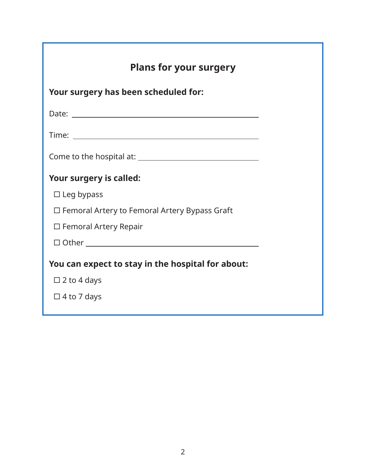| <b>Plans for your surgery</b>                        |  |  |
|------------------------------------------------------|--|--|
| Your surgery has been scheduled for:                 |  |  |
|                                                      |  |  |
|                                                      |  |  |
|                                                      |  |  |
| Your surgery is called:                              |  |  |
| $\Box$ Leg bypass                                    |  |  |
| $\Box$ Femoral Artery to Femoral Artery Bypass Graft |  |  |
| $\Box$ Femoral Artery Repair                         |  |  |
|                                                      |  |  |
| You can expect to stay in the hospital for about:    |  |  |
| $\Box$ 2 to 4 days                                   |  |  |
| $\Box$ 4 to 7 days                                   |  |  |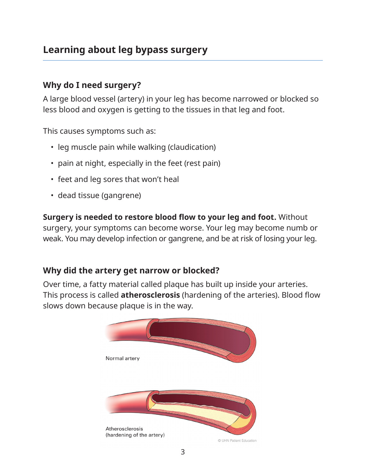# <span id="page-2-0"></span>**Learning about leg bypass surgery**

#### **Why do I need surgery?**

A large blood vessel (artery) in your leg has become narrowed or blocked so less blood and oxygen is getting to the tissues in that leg and foot.

This causes symptoms such as:

- leg muscle pain while walking (claudication)
- pain at night, especially in the feet (rest pain)
- feet and leg sores that won't heal
- dead tissue (gangrene)

**Surgery is needed to restore blood flow to your leg and foot.** Without surgery, your symptoms can become worse. Your leg may become numb or weak. You may develop infection or gangrene, and be at risk of losing your leg.

#### **Why did the artery get narrow or blocked?**

Over time, a fatty material called plaque has built up inside your arteries. This process is called **atherosclerosis** (hardening of the arteries). Blood flow slows down because plaque is in the way.

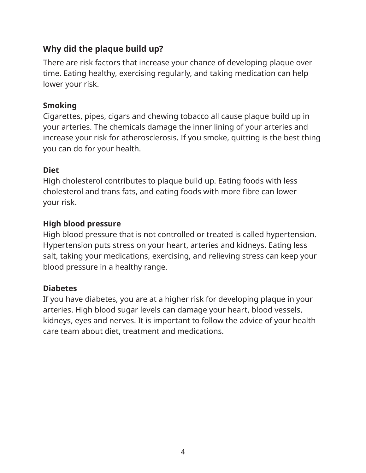### **Why did the plaque build up?**

There are risk factors that increase your chance of developing plaque over time. Eating healthy, exercising regularly, and taking medication can help lower your risk.

#### **Smoking**

Cigarettes, pipes, cigars and chewing tobacco all cause plaque build up in your arteries. The chemicals damage the inner lining of your arteries and increase your risk for atherosclerosis. If you smoke, quitting is the best thing you can do for your health.

#### **Diet**

High cholesterol contributes to plaque build up. Eating foods with less cholesterol and trans fats, and eating foods with more fibre can lower your risk.

#### **High blood pressure**

High blood pressure that is not controlled or treated is called hypertension. Hypertension puts stress on your heart, arteries and kidneys. Eating less salt, taking your medications, exercising, and relieving stress can keep your blood pressure in a healthy range.

#### **Diabetes**

If you have diabetes, you are at a higher risk for developing plaque in your arteries. High blood sugar levels can damage your heart, blood vessels, kidneys, eyes and nerves. It is important to follow the advice of your health care team about diet, treatment and medications.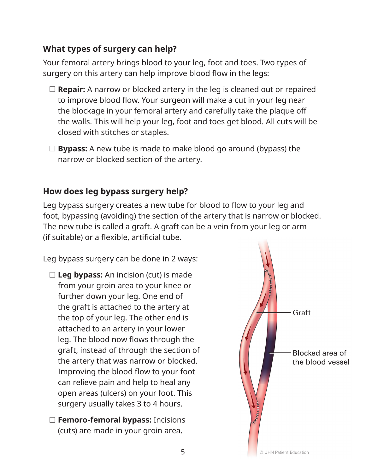#### **What types of surgery can help?**

Your femoral artery brings blood to your leg, foot and toes. Two types of surgery on this artery can help improve blood flow in the legs:

- **Repair:** A narrow or blocked artery in the leg is cleaned out or repaired to improve blood flow. Your surgeon will make a cut in your leg near the blockage in your femoral artery and carefully take the plaque off the walls. This will help your leg, foot and toes get blood. All cuts will be closed with stitches or staples.
- **Bypass:** A new tube is made to make blood go around (bypass) the narrow or blocked section of the artery.

#### **How does leg bypass surgery help?**

Leg bypass surgery creates a new tube for blood to flow to your leg and foot, bypassing (avoiding) the section of the artery that is narrow or blocked. The new tube is called a graft. A graft can be a vein from your leg or arm (if suitable) or a flexible, artificial tube.

Leg bypass surgery can be done in 2 ways:

- **Leg bypass:** An incision (cut) is made from your groin area to your knee or further down your leg. One end of the graft is attached to the artery at the top of your leg. The other end is attached to an artery in your lower leg. The blood now flows through the graft, instead of through the section of the artery that was narrow or blocked. Improving the blood flow to your foot can relieve pain and help to heal any open areas (ulcers) on your foot. This surgery usually takes 3 to 4 hours.
- **Femoro-femoral bypass:** Incisions (cuts) are made in your groin area.

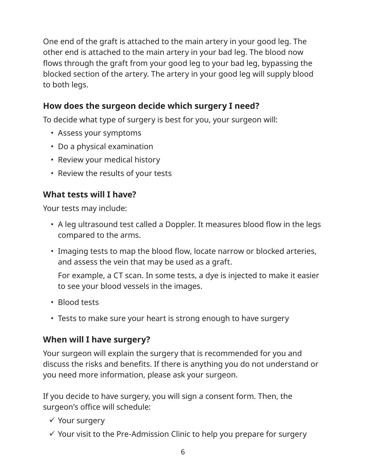One end of the graft is attached to the main artery in your good leg. The other end is attached to the main artery in your bad leg. The blood now flows through the graft from your good leg to your bad leg, bypassing the blocked section of the artery. The artery in your good leg will supply blood to both legs.

#### **How does the surgeon decide which surgery I need?**

To decide what type of surgery is best for you, your surgeon will:

- Assess your symptoms
- Do a physical examination
- Review your medical history
- Review the results of your tests

#### **What tests will I have?**

Your tests may include:

- A leg ultrasound test called a Doppler. It measures blood flow in the legs compared to the arms.
- Imaging tests to map the blood flow, locate narrow or blocked arteries, and assess the vein that may be used as a graft.

For example, a CT scan. In some tests, a dye is injected to make it easier to see your blood vessels in the images.

- Blood tests
- Tests to make sure your heart is strong enough to have surgery

#### **When will I have surgery?**

Your surgeon will explain the surgery that is recommended for you and discuss the risks and benefits. If there is anything you do not understand or you need more information, please ask your surgeon.

If you decide to have surgery, you will sign a consent form. Then, the surgeon's office will schedule:

- $\checkmark$  Your surgery
- $\checkmark$  Your visit to the Pre-Admission Clinic to help you prepare for surgery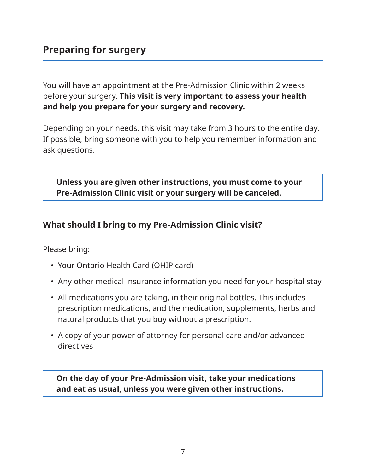<span id="page-6-0"></span>You will have an appointment at the Pre-Admission Clinic within 2 weeks before your surgery. **This visit is very important to assess your health and help you prepare for your surgery and recovery.** 

Depending on your needs, this visit may take from 3 hours to the entire day. If possible, bring someone with you to help you remember information and ask questions.

**Unless you are given other instructions, you must come to your Pre-Admission Clinic visit or your surgery will be canceled.**

#### **What should I bring to my Pre-Admission Clinic visit?**

Please bring:

- Your Ontario Health Card (OHIP card)
- Any other medical insurance information you need for your hospital stay
- All medications you are taking, in their original bottles. This includes prescription medications, and the medication, supplements, herbs and natural products that you buy without a prescription.
- A copy of your power of attorney for personal care and/or advanced directives

**On the day of your Pre-Admission visit, take your medications and eat as usual, unless you were given other instructions.**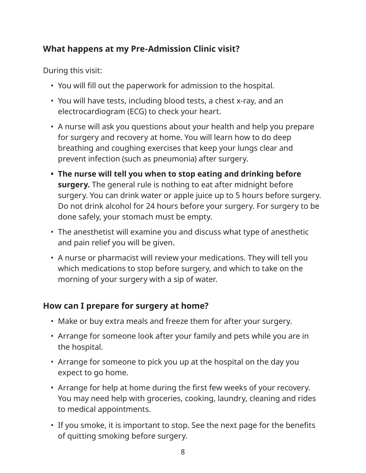#### **What happens at my Pre-Admission Clinic visit?**

During this visit:

- You will fill out the paperwork for admission to the hospital.
- You will have tests, including blood tests, a chest x-ray, and an electrocardiogram (ECG) to check your heart.
- A nurse will ask you questions about your health and help you prepare for surgery and recovery at home. You will learn how to do deep breathing and coughing exercises that keep your lungs clear and prevent infection (such as pneumonia) after surgery.
- **• The nurse will tell you when to stop eating and drinking before surgery.** The general rule is nothing to eat after midnight before surgery. You can drink water or apple juice up to 5 hours before surgery. Do not drink alcohol for 24 hours before your surgery. For surgery to be done safely, your stomach must be empty.
- The anesthetist will examine you and discuss what type of anesthetic and pain relief you will be given.
- A nurse or pharmacist will review your medications. They will tell you which medications to stop before surgery, and which to take on the morning of your surgery with a sip of water.

#### **How can I prepare for surgery at home?**

- Make or buy extra meals and freeze them for after your surgery.
- Arrange for someone look after your family and pets while you are in the hospital.
- Arrange for someone to pick you up at the hospital on the day you expect to go home.
- Arrange for help at home during the first few weeks of your recovery. You may need help with groceries, cooking, laundry, cleaning and rides to medical appointments.
- If you smoke, it is important to stop. See the next page for the benefits of quitting smoking before surgery.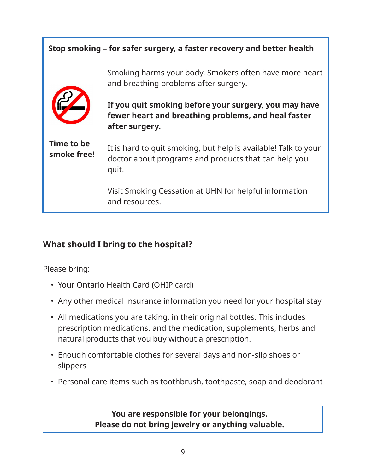# **Stop smoking – for safer surgery, a faster recovery and better health**  Smoking harms your body. Smokers often have more heart and breathing problems after surgery. **If you quit smoking before your surgery, you may have fewer heart and breathing problems, and heal faster after surgery.**  It is hard to quit smoking, but help is available! Talk to your doctor about programs and products that can help you quit. Visit Smoking Cessation at UHN for helpful information and resources. **Time to be smoke free!**

# **What should I bring to the hospital?**

Please bring:

- Your Ontario Health Card (OHIP card)
- Any other medical insurance information you need for your hospital stay
- All medications you are taking, in their original bottles. This includes prescription medications, and the medication, supplements, herbs and natural products that you buy without a prescription.
- Enough comfortable clothes for several days and non-slip shoes or slippers
- Personal care items such as toothbrush, toothpaste, soap and deodorant

**You are responsible for your belongings. Please do not bring jewelry or anything valuable.**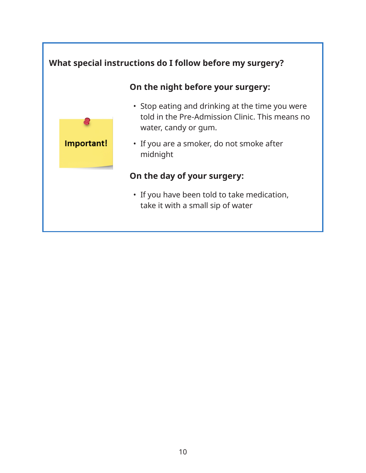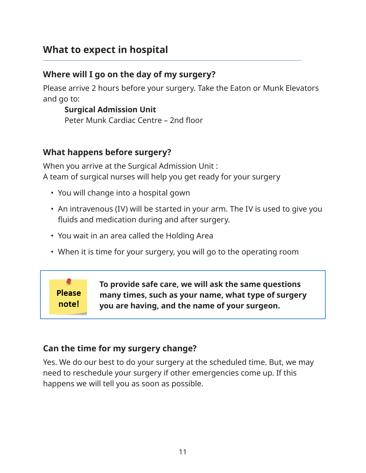# <span id="page-10-0"></span>**What to expect in hospital**

#### **Where will I go on the day of my surgery?**

Please arrive 2 hours before your surgery. Take the Eaton or Munk Elevators and go to:

#### **Surgical Admission Unit**  Peter Munk Cardiac Centre – 2nd floor

#### **What happens before surgery?**

When you arrive at the Surgical Admission Unit : A team of surgical nurses will help you get ready for your surgery

- You will change into a hospital gown
- An intravenous (IV) will be started in your arm. The IV is used to give you fluids and medication during and after surgery.
- You wait in an area called the Holding Area
- When it is time for your surgery, you will go to the operating room

**Please** note!

**To provide safe care, we will ask the same questions many times, such as your name, what type of surgery you are having, and the name of your surgeon.**

#### **Can the time for my surgery change?**

Yes. We do our best to do your surgery at the scheduled time. But, we may need to reschedule your surgery if other emergencies come up. If this happens we will tell you as soon as possible.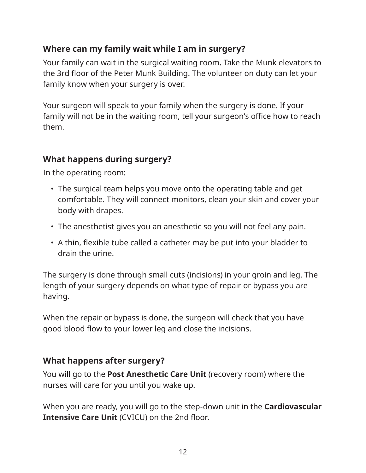#### **Where can my family wait while I am in surgery?**

Your family can wait in the surgical waiting room. Take the Munk elevators to the 3rd floor of the Peter Munk Building. The volunteer on duty can let your family know when your surgery is over.

Your surgeon will speak to your family when the surgery is done. If your family will not be in the waiting room, tell your surgeon's office how to reach them.

#### **What happens during surgery?**

In the operating room:

- The surgical team helps you move onto the operating table and get comfortable. They will connect monitors, clean your skin and cover your body with drapes.
- The anesthetist gives you an anesthetic so you will not feel any pain.
- A thin, flexible tube called a catheter may be put into your bladder to drain the urine.

The surgery is done through small cuts (incisions) in your groin and leg. The length of your surgery depends on what type of repair or bypass you are having.

When the repair or bypass is done, the surgeon will check that you have good blood flow to your lower leg and close the incisions.

#### **What happens after surgery?**

You will go to the **Post Anesthetic Care Unit** (recovery room) where the nurses will care for you until you wake up.

When you are ready, you will go to the step-down unit in the **Cardiovascular Intensive Care Unit (CVICU) on the 2nd floor.**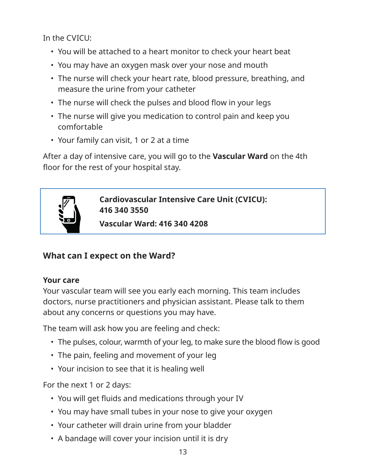In the CVICU:

- You will be attached to a heart monitor to check your heart beat
- You may have an oxygen mask over your nose and mouth
- The nurse will check your heart rate, blood pressure, breathing, and measure the urine from your catheter
- The nurse will check the pulses and blood flow in your legs
- The nurse will give you medication to control pain and keep you comfortable
- Your family can visit, 1 or 2 at a time

After a day of intensive care, you will go to the **Vascular Ward** on the 4th floor for the rest of your hospital stay.



**Cardiovascular Intensive Care Unit (CVICU): 416 340 3550**

**Vascular Ward: 416 340 4208**

# **What can I expect on the Ward?**

#### **Your care**

Your vascular team will see you early each morning. This team includes doctors, nurse practitioners and physician assistant. Please talk to them about any concerns or questions you may have.

The team will ask how you are feeling and check:

- The pulses, colour, warmth of your leg, to make sure the blood flow is good
- The pain, feeling and movement of your leg
- Your incision to see that it is healing well

For the next 1 or 2 days:

- You will get fluids and medications through your IV
- You may have small tubes in your nose to give your oxygen
- Your catheter will drain urine from your bladder
- A bandage will cover your incision until it is dry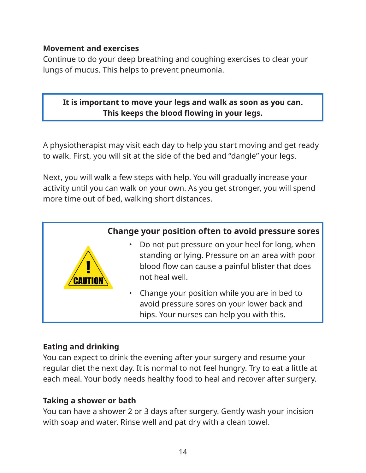#### **Movement and exercises**

Continue to do your deep breathing and coughing exercises to clear your lungs of mucus. This helps to prevent pneumonia.

#### **It is important to move your legs and walk as soon as you can. This keeps the blood flowing in your legs.**

A physiotherapist may visit each day to help you start moving and get ready to walk. First, you will sit at the side of the bed and "dangle" your legs.

Next, you will walk a few steps with help. You will gradually increase your activity until you can walk on your own. As you get stronger, you will spend more time out of bed, walking short distances.



#### **Eating and drinking**

You can expect to drink the evening after your surgery and resume your regular diet the next day. It is normal to not feel hungry. Try to eat a little at each meal. Your body needs healthy food to heal and recover after surgery.

#### **Taking a shower or bath**

You can have a shower 2 or 3 days after surgery. Gently wash your incision with soap and water. Rinse well and pat dry with a clean towel.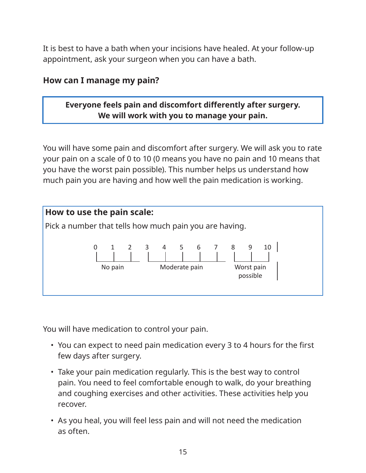It is best to have a bath when your incisions have healed. At your follow-up appointment, ask your surgeon when you can have a bath.

#### **How can I manage my pain?**

#### **Everyone feels pain and discomfort differently after surgery. We will work with you to manage your pain.**

You will have some pain and discomfort after surgery. We will ask you to rate your pain on a scale of 0 to 10 (0 means you have no pain and 10 means that you have the worst pain possible). This number helps us understand how much pain you are having and how well the pain medication is working.



You will have medication to control your pain.

- You can expect to need pain medication every 3 to 4 hours for the first few days after surgery.
- Take your pain medication regularly. This is the best way to control pain. You need to feel comfortable enough to walk, do your breathing and coughing exercises and other activities. These activities help you recover.
- As you heal, you will feel less pain and will not need the medication as often.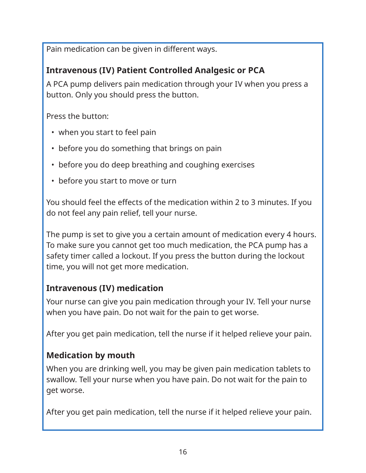Pain medication can be given in different ways.

#### **Intravenous (IV) Patient Controlled Analgesic or PCA**

A PCA pump delivers pain medication through your IV when you press a button. Only you should press the button.

Press the button:

- when you start to feel pain
- before you do something that brings on pain
- before you do deep breathing and coughing exercises
- before you start to move or turn

You should feel the effects of the medication within 2 to 3 minutes. If you do not feel any pain relief, tell your nurse.

The pump is set to give you a certain amount of medication every 4 hours. To make sure you cannot get too much medication, the PCA pump has a safety timer called a lockout. If you press the button during the lockout time, you will not get more medication.

#### **Intravenous (IV) medication**

Your nurse can give you pain medication through your IV. Tell your nurse when you have pain. Do not wait for the pain to get worse.

After you get pain medication, tell the nurse if it helped relieve your pain.

#### **Medication by mouth**

When you are drinking well, you may be given pain medication tablets to swallow. Tell your nurse when you have pain. Do not wait for the pain to get worse.

After you get pain medication, tell the nurse if it helped relieve your pain.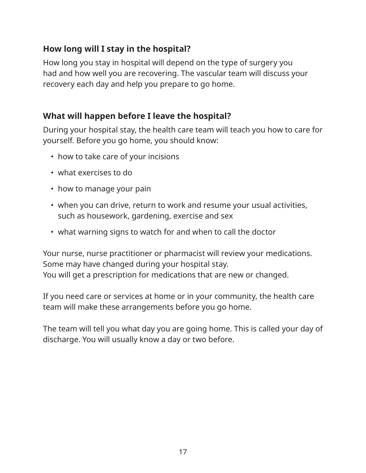#### **How long will I stay in the hospital?**

How long you stay in hospital will depend on the type of surgery you had and how well you are recovering. The vascular team will discuss your recovery each day and help you prepare to go home.

# **What will happen before I leave the hospital?**

During your hospital stay, the health care team will teach you how to care for yourself. Before you go home, you should know:

- how to take care of your incisions
- what exercises to do
- how to manage your pain
- when you can drive, return to work and resume your usual activities, such as housework, gardening, exercise and sex
- what warning signs to watch for and when to call the doctor

Your nurse, nurse practitioner or pharmacist will review your medications. Some may have changed during your hospital stay. You will get a prescription for medications that are new or changed.

If you need care or services at home or in your community, the health care team will make these arrangements before you go home.

The team will tell you what day you are going home. This is called your day of discharge. You will usually know a day or two before.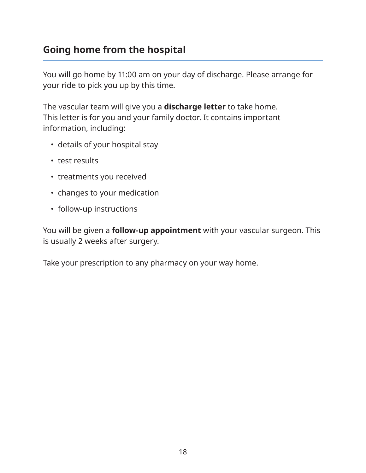# <span id="page-17-0"></span>**Going home from the hospital**

You will go home by 11:00 am on your day of discharge. Please arrange for your ride to pick you up by this time.

The vascular team will give you a **discharge letter** to take home. This letter is for you and your family doctor. It contains important information, including:

- details of your hospital stay
- test results
- treatments you received
- changes to your medication
- follow-up instructions

You will be given a **follow-up appointment** with your vascular surgeon. This is usually 2 weeks after surgery.

Take your prescription to any pharmacy on your way home.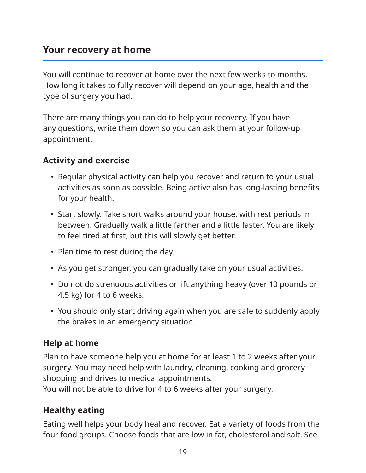# <span id="page-18-0"></span>**Your recovery at home**

You will continue to recover at home over the next few weeks to months. How long it takes to fully recover will depend on your age, health and the type of surgery you had.

There are many things you can do to help your recovery. If you have any questions, write them down so you can ask them at your follow-up appointment.

#### **Activity and exercise**

- Regular physical activity can help you recover and return to your usual activities as soon as possible. Being active also has long-lasting benefits for your health.
- Start slowly. Take short walks around your house, with rest periods in between. Gradually walk a little farther and a little faster. You are likely to feel tired at first, but this will slowly get better.
- Plan time to rest during the day.
- As you get stronger, you can gradually take on your usual activities.
- Do not do strenuous activities or lift anything heavy (over 10 pounds or 4.5 kg) for 4 to 6 weeks.
- You should only start driving again when you are safe to suddenly apply the brakes in an emergency situation.

#### **Help at home**

Plan to have someone help you at home for at least 1 to 2 weeks after your surgery. You may need help with laundry, cleaning, cooking and grocery shopping and drives to medical appointments.

You will not be able to drive for 4 to 6 weeks after your surgery.

#### **Healthy eating**

Eating well helps your body heal and recover. Eat a variety of foods from the four food groups. Choose foods that are low in fat, cholesterol and salt. See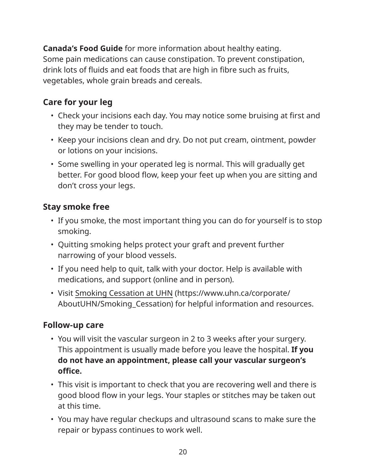**Canada's Food Guide** for more information about healthy eating. Some pain medications can cause constipation. To prevent constipation, drink lots of fluids and eat foods that are high in fibre such as fruits, vegetables, whole grain breads and cereals.

# **Care for your leg**

- Check your incisions each day. You may notice some bruising at first and they may be tender to touch.
- Keep your incisions clean and dry. Do not put cream, ointment, powder or lotions on your incisions.
- Some swelling in your operated leg is normal. This will gradually get better. For good blood flow, keep your feet up when you are sitting and don't cross your legs.

#### **Stay smoke free**

- If you smoke, the most important thing you can do for yourself is to stop smoking.
- Quitting smoking helps protect your graft and prevent further narrowing of your blood vessels.
- If you need help to quit, talk with your doctor. Help is available with medications, and support (online and in person).
- Visit [Smoking Cessation at UHN](https://www.uhn.ca/corporate/AboutUHN/Smoking_Cessation) (https://www.uhn.ca/corporate/ AboutUHN/Smoking\_Cessation) for helpful information and resources.

#### **Follow-up care**

- You will visit the vascular surgeon in 2 to 3 weeks after your surgery. This appointment is usually made before you leave the hospital. **If you do not have an appointment, please call your vascular surgeon's office.**
- This visit is important to check that you are recovering well and there is good blood flow in your legs. Your staples or stitches may be taken out at this time.
- You may have regular checkups and ultrasound scans to make sure the repair or bypass continues to work well.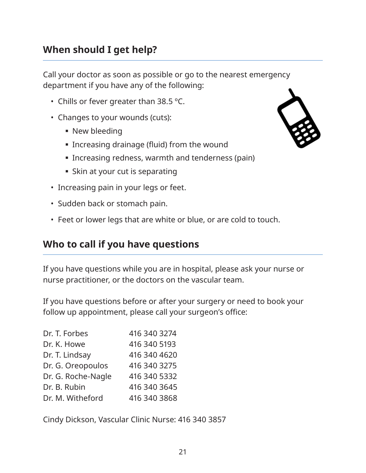# <span id="page-20-0"></span>**When should I get help?**

Call your doctor as soon as possible or go to the nearest emergency department if you have any of the following:

- Chills or fever greater than 38.5 ºC.
- Changes to your wounds (cuts):
	- New bleeding
	- Increasing drainage (fluid) from the wound
	- **Increasing redness, warmth and tenderness (pain)**
	- **Skin at your cut is separating**
- Increasing pain in your legs or feet.
- Sudden back or stomach pain.
- Feet or lower legs that are white or blue, or are cold to touch.

#### **Who to call if you have questions**

If you have questions while you are in hospital, please ask your nurse or nurse practitioner, or the doctors on the vascular team.

If you have questions before or after your surgery or need to book your follow up appointment, please call your surgeon's office:

| Dr. T. Forbes      | 416 340 3274 |
|--------------------|--------------|
| Dr. K. Howe        | 416 340 5193 |
| Dr. T. Lindsay     | 416 340 4620 |
| Dr. G. Oreopoulos  | 416 340 3275 |
| Dr. G. Roche-Nagle | 416 340 5332 |
| Dr. B. Rubin       | 416 340 3645 |
| Dr. M. Witheford   | 416 340 3868 |

Cindy Dickson, Vascular Clinic Nurse: 416 340 3857